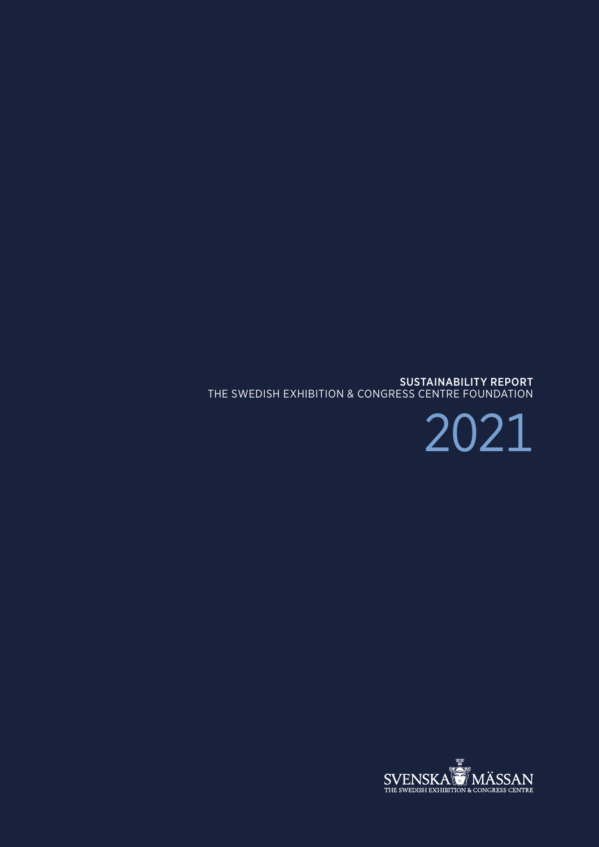

SUSTAINABILITY REPORT THE SWEDISH EXHIBITION & CONGRESS CENTRE FOUNDATION

2021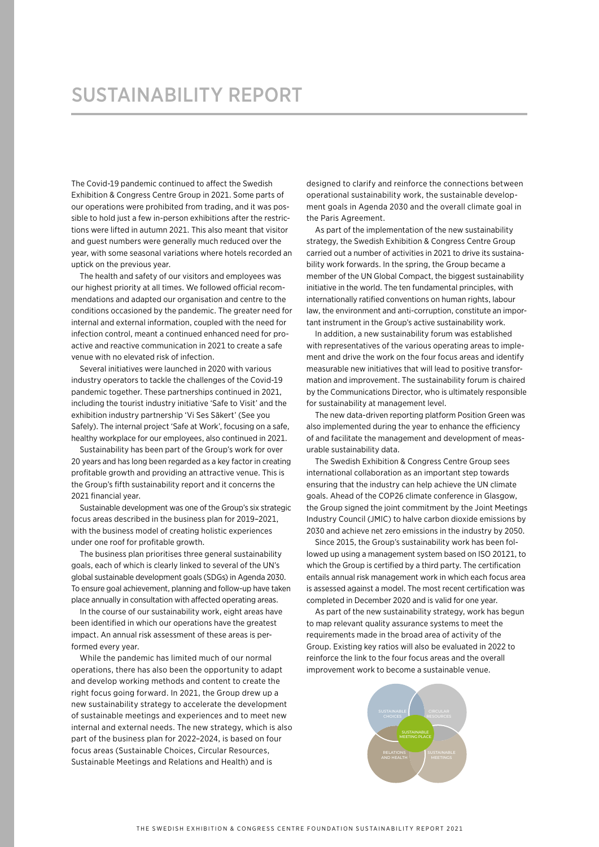# SUSTAINABILITY REPORT

The Covid-19 pandemic continued to affect the Swedish Exhibition & Congress Centre Group in 2021. Some parts of our operations were prohibited from trading, and it was possible to hold just a few in-person exhibitions after the restrictions were lifted in autumn 2021. This also meant that visitor and guest numbers were generally much reduced over the year, with some seasonal variations where hotels recorded an uptick on the previous year.

The health and safety of our visitors and employees was our highest priority at all times. We followed official recommendations and adapted our organisation and centre to the conditions occasioned by the pandemic. The greater need for internal and external information, coupled with the need for infection control, meant a continued enhanced need for proactive and reactive communication in 2021 to create a safe venue with no elevated risk of infection.

Several initiatives were launched in 2020 with various industry operators to tackle the challenges of the Covid-19 pandemic together. These partnerships continued in 2021, including the tourist industry initiative 'Safe to Visit' and the exhibition industry partnership 'Vi Ses Säkert' (See you Safely). The internal project 'Safe at Work', focusing on a safe, healthy workplace for our employees, also continued in 2021.

Sustainability has been part of the Group's work for over 20 years and has long been regarded as a key factor in creating profitable growth and providing an attractive venue. This is the Group's fifth sustainability report and it concerns the 2021 financial year.

Sustainable development was one of the Group's six strategic focus areas described in the business plan for 2019–2021, with the business model of creating holistic experiences under one roof for profitable growth.

The business plan prioritises three general sustainability goals, each of which is clearly linked to several of the UN's global sustainable development goals (SDGs) in Agenda 2030. To ensure goal achievement, planning and follow-up have taken place annually in consultation with affected operating areas.

In the course of our sustainability work, eight areas have been identified in which our operations have the greatest impact. An annual risk assessment of these areas is performed every year.

While the pandemic has limited much of our normal operations, there has also been the opportunity to adapt and develop working methods and content to create the right focus going forward. In 2021, the Group drew up a new sustainability strategy to accelerate the development of sustainable meetings and experiences and to meet new internal and external needs. The new strategy, which is also part of the business plan for 2022–2024, is based on four focus areas (Sustainable Choices, Circular Resources, Sustainable Meetings and Relations and Health) and is

designed to clarify and reinforce the connections between operational sustainability work, the sustainable development goals in Agenda 2030 and the overall climate goal in the Paris Agreement

As part of the implementation of the new sustainability strategy, the Swedish Exhibition & Congress Centre Group carried out a number of activities in 2021 to drive its sustainability work forwards. In the spring, the Group became a member of the UN Global Compact, the biggest sustainability initiative in the world. The ten fundamental principles, with internationally ratified conventions on human rights, labour law, the environment and anti-corruption, constitute an important instrument in the Group's active sustainability work.

In addition, a new sustainability forum was established with representatives of the various operating areas to implement and drive the work on the four focus areas and identify measurable new initiatives that will lead to positive transformation and improvement. The sustainability forum is chaired by the Communications Director, who is ultimately responsible for sustainability at management level.

The new data-driven reporting platform Position Green was also implemented during the year to enhance the efficiency of and facilitate the management and development of measurable sustainability data.

The Swedish Exhibition & Congress Centre Group sees international collaboration as an important step towards ensuring that the industry can help achieve the UN climate goals. Ahead of the COP26 climate conference in Glasgow, the Group signed the joint commitment by the Joint Meetings Industry Council (JMIC) to halve carbon dioxide emissions by 2030 and achieve net zero emissions in the industry by 2050.

Since 2015, the Group's sustainability work has been followed up using a management system based on ISO 20121, to which the Group is certified by a third party. The certification entails annual risk management work in which each focus area is assessed against a model. The most recent certification was completed in December 2020 and is valid for one year.

As part of the new sustainability strategy, work has begun to map relevant quality assurance systems to meet the requirements made in the broad area of activity of the Group. Existing key ratios will also be evaluated in 2022 to reinforce the link to the four focus areas and the overall improvement work to become a sustainable venue.

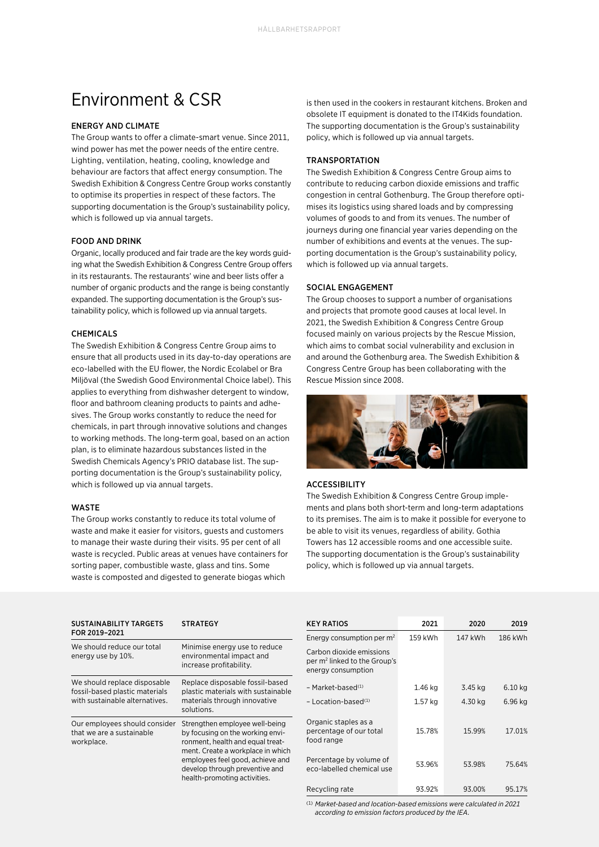## Environment & CSR

### ENERGY AND CLIMATE

The Group wants to offer a climate-smart venue. Since 2011, wind power has met the power needs of the entire centre. Lighting, ventilation, heating, cooling, knowledge and behaviour are factors that affect energy consumption. The Swedish Exhibition & Congress Centre Group works constantly to optimise its properties in respect of these factors. The supporting documentation is the Group's sustainability policy, which is followed up via annual targets.

### FOOD AND DRINK

Organic, locally produced and fair trade are the key words guiding what the Swedish Exhibition & Congress Centre Group offers in its restaurants. The restaurants' wine and beer lists offer a number of organic products and the range is being constantly expanded. The supporting documentation is the Group's sustainability policy, which is followed up via annual targets.

### CHEMICALS

The Swedish Exhibition & Congress Centre Group aims to ensure that all products used in its day-to-day operations are eco-labelled with the EU flower, the Nordic Ecolabel or Bra Miljöval (the Swedish Good Environmental Choice label). This applies to everything from dishwasher detergent to window, floor and bathroom cleaning products to paints and adhesives. The Group works constantly to reduce the need for chemicals, in part through innovative solutions and changes to working methods. The long-term goal, based on an action plan, is to eliminate hazardous substances listed in the Swedish Chemicals Agency's PRIO database list. The supporting documentation is the Group's sustainability policy, which is followed up via annual targets.

#### **WASTE**

The Group works constantly to reduce its total volume of waste and make it easier for visitors, guests and customers to manage their waste during their visits. 95 per cent of all waste is recycled. Public areas at venues have containers for sorting paper, combustible waste, glass and tins. Some waste is composted and digested to generate biogas which

is then used in the cookers in restaurant kitchens. Broken and obsolete IT equipment is donated to the IT4Kids foundation. The supporting documentation is the Group's sustainability policy, which is followed up via annual targets.

### TRANSPORTATION

The Swedish Exhibition & Congress Centre Group aims to contribute to reducing carbon dioxide emissions and traffic congestion in central Gothenburg. The Group therefore optimises its logistics using shared loads and by compressing volumes of goods to and from its venues. The number of journeys during one financial year varies depending on the number of exhibitions and events at the venues. The supporting documentation is the Group's sustainability policy, which is followed up via annual targets.

#### SOCIAL ENGAGEMENT

The Group chooses to support a number of organisations and projects that promote good causes at local level. In 2021, the Swedish Exhibition & Congress Centre Group focused mainly on various projects by the Rescue Mission, which aims to combat social vulnerability and exclusion in and around the Gothenburg area. The Swedish Exhibition & Congress Centre Group has been collaborating with the Rescue Mission since 2008.



### ACCESSIBILITY

The Swedish Exhibition & Congress Centre Group implements and plans both short-term and long-term adaptations to its premises. The aim is to make it possible for everyone to be able to visit its venues, regardless of ability. Gothia Towers has 12 accessible rooms and one accessible suite. The supporting documentation is the Group's sustainability policy, which is followed up via annual targets.

| <b>SUSTAINABILITY TARGETS</b><br>FOR 2019-2021                                                   | <b>STRATEGY</b>                                                                                                                                                                                                                                   |
|--------------------------------------------------------------------------------------------------|---------------------------------------------------------------------------------------------------------------------------------------------------------------------------------------------------------------------------------------------------|
| We should reduce our total<br>energy use by 10%.                                                 | Minimise energy use to reduce<br>environmental impact and<br>increase profitability.                                                                                                                                                              |
| We should replace disposable<br>fossil-based plastic materials<br>with sustainable alternatives. | Replace disposable fossil-based<br>plastic materials with sustainable<br>materials through innovative<br>solutions.                                                                                                                               |
| Our employees should consider<br>that we are a sustainable<br>workplace.                         | Strengthen employee well-being<br>by focusing on the working envi-<br>ronment, health and equal treat-<br>ment. Create a workplace in which<br>employees feel good, achieve and<br>develop through preventive and<br>health-promoting activities. |

| <b>KEY RATIOS</b>                                                                          | 2021    | 2020    | 2019    |
|--------------------------------------------------------------------------------------------|---------|---------|---------|
| Energy consumption per $m2$                                                                | 159 kWh | 147 kWh | 186 kWh |
| Carbon dioxide emissions<br>per m <sup>2</sup> linked to the Group's<br>energy consumption |         |         |         |
| $-$ Market-based <sup>(1)</sup>                                                            | 1.46 ka | 3.45 kg | 6.10 kg |
| $-$ Location-based <sup>(1)</sup>                                                          | 1.57 kg | 4.30 kg | 6.96 kg |
| Organic staples as a<br>percentage of our total<br>food range                              | 15.78%  | 15.99%  | 17.01%  |
| Percentage by volume of<br>eco-labelled chemical use                                       | 53.96%  | 53.98%  | 75.64%  |
| Recycling rate                                                                             | 93.92%  | 93.00%  | 95.17%  |

(1) *Market-based and location-based emissions were calculated in 2021 according to emission factors produced by the IEA.*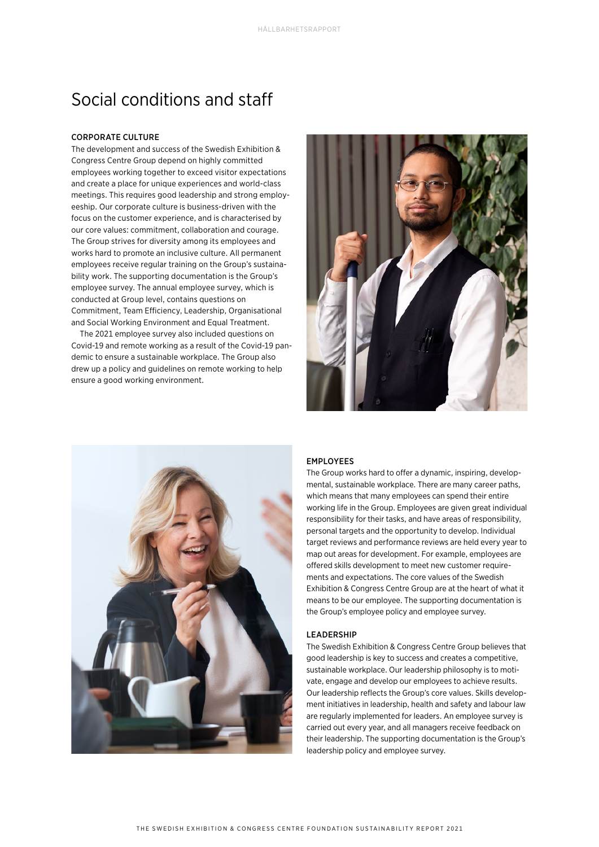## Social conditions and staff

### CORPORATE CULTURE

The development and success of the Swedish Exhibition & Congress Centre Group depend on highly committed employees working together to exceed visitor expectations and create a place for unique experiences and world-class meetings. This requires good leadership and strong employeeship. Our corporate culture is business-driven with the focus on the customer experience, and is characterised by our core values: commitment, collaboration and courage. The Group strives for diversity among its employees and works hard to promote an inclusive culture. All permanent employees receive regular training on the Group's sustainability work. The supporting documentation is the Group's employee survey. The annual employee survey, which is conducted at Group level, contains questions on Commitment, Team Efficiency, Leadership, Organisational and Social Working Environment and Equal Treatment.

The 2021 employee survey also included questions on Covid-19 and remote working as a result of the Covid-19 pandemic to ensure a sustainable workplace. The Group also drew up a policy and guidelines on remote working to help ensure a good working environment.





### EMPLOYEES

The Group works hard to offer a dynamic, inspiring, developmental, sustainable workplace. There are many career paths, which means that many employees can spend their entire working life in the Group. Employees are given great individual responsibility for their tasks, and have areas of responsibility, personal targets and the opportunity to develop. Individual target reviews and performance reviews are held every year to map out areas for development. For example, employees are offered skills development to meet new customer requirements and expectations. The core values of the Swedish Exhibition & Congress Centre Group are at the heart of what it means to be our employee. The supporting documentation is the Group's employee policy and employee survey.

### LEADERSHIP

The Swedish Exhibition & Congress Centre Group believes that good leadership is key to success and creates a competitive, sustainable workplace. Our leadership philosophy is to motivate, engage and develop our employees to achieve results. Our leadership reflects the Group's core values. Skills development initiatives in leadership, health and safety and labour law are regularly implemented for leaders. An employee survey is carried out every year, and all managers receive feedback on their leadership. The supporting documentation is the Group's leadership policy and employee survey.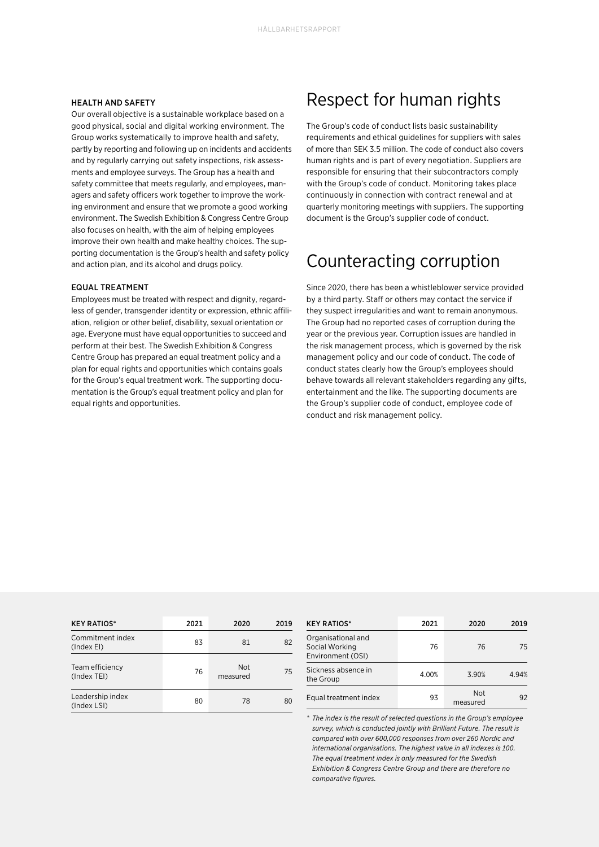### HEALTH AND SAFETY

Our overall objective is a sustainable workplace based on a good physical, social and digital working environment. The Group works systematically to improve health and safety, partly by reporting and following up on incidents and accidents and by regularly carrying out safety inspections, risk assessments and employee surveys. The Group has a health and safety committee that meets regularly, and employees, managers and safety officers work together to improve the working environment and ensure that we promote a good working environment. The Swedish Exhibition & Congress Centre Group also focuses on health, with the aim of helping employees improve their own health and make healthy choices. The supporting documentation is the Group's health and safety policy and action plan, and its alcohol and drugs policy.

#### EQUAL TREATMENT

Employees must be treated with respect and dignity, regardless of gender, transgender identity or expression, ethnic affiliation, religion or other belief, disability, sexual orientation or age. Everyone must have equal opportunities to succeed and perform at their best. The Swedish Exhibition & Congress Centre Group has prepared an equal treatment policy and a plan for equal rights and opportunities which contains goals for the Group's equal treatment work. The supporting documentation is the Group's equal treatment policy and plan for equal rights and opportunities.

## Respect for human rights

The Group's code of conduct lists basic sustainability requirements and ethical guidelines for suppliers with sales of more than SEK 3.5 million. The code of conduct also covers human rights and is part of every negotiation. Suppliers are responsible for ensuring that their subcontractors comply with the Group's code of conduct. Monitoring takes place continuously in connection with contract renewal and at quarterly monitoring meetings with suppliers. The supporting document is the Group's supplier code of conduct.

# Counteracting corruption

Since 2020, there has been a whistleblower service provided by a third party. Staff or others may contact the service if they suspect irregularities and want to remain anonymous. The Group had no reported cases of corruption during the year or the previous year. Corruption issues are handled in the risk management process, which is governed by the risk management policy and our code of conduct. The code of conduct states clearly how the Group's employees should behave towards all relevant stakeholders regarding any gifts, entertainment and the like. The supporting documents are the Group's supplier code of conduct, employee code of conduct and risk management policy.

| <b>KEY RATIOS*</b>              | 2021 | 2020            | 2019 |
|---------------------------------|------|-----------------|------|
| Commitment index<br>(Index EI)  | 83   | 81              | 82   |
| Team efficiency<br>(Index TEI)  | 76   | Not<br>measured | 75   |
| Leadership index<br>(Index LSI) | 80   | 78              | 80   |

| <b>KEY RATIOS*</b>                                        | 2021  | 2020                   | 2019  |
|-----------------------------------------------------------|-------|------------------------|-------|
| Organisational and<br>Social Working<br>Environment (OSI) | 76    | 76                     | 75    |
| Sickness absence in<br>the Group                          | 4.00% | 3.90%                  | 4.94% |
| Equal treatment index                                     | 93    | <b>Not</b><br>measured | 92    |

*\* The index is the result of selected questions in the Group's employee survey, which is conducted jointly with Brilliant Future. The result is compared with over 600,000 responses from over 260 Nordic and international organisations. The highest value in all indexes is 100. The equal treatment index is only measured for the Swedish Exhibition & Congress Centre Group and there are therefore no comparative figures.*